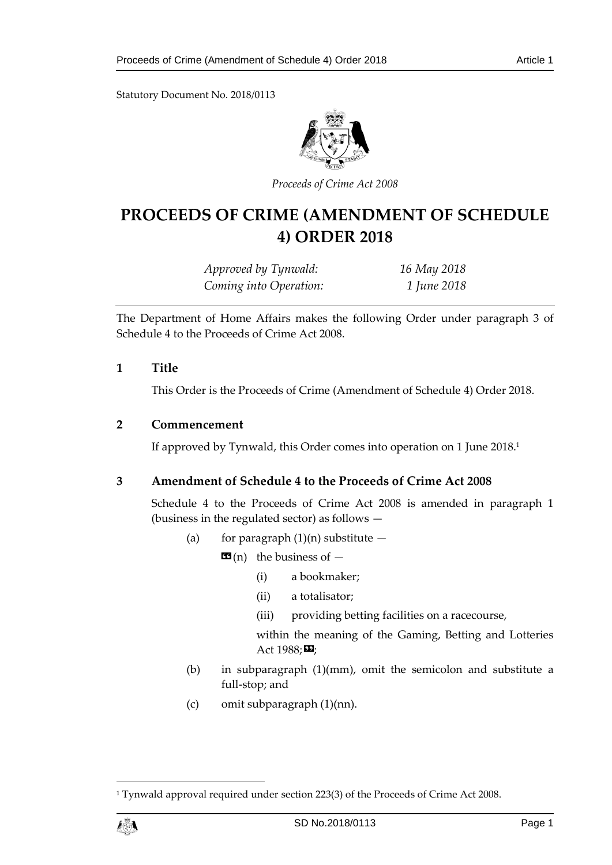Statutory Document No. 2018/0113



*Proceeds of Crime Act 2008*

# **PROCEEDS OF CRIME (AMENDMENT OF SCHEDULE 4) ORDER 2018**

| Approved by Tynwald:   | 16 May 2018 |
|------------------------|-------------|
| Coming into Operation: | 1 June 2018 |

The Department of Home Affairs makes the following Order under paragraph 3 of Schedule 4 to the Proceeds of Crime Act 2008.

#### **1 Title**

This Order is the Proceeds of Crime (Amendment of Schedule 4) Order 2018.

## **2 Commencement**

If approved by Tynwald, this Order comes into operation on 1 June 2018. 1

## **3 Amendment of Schedule 4 to the Proceeds of Crime Act 2008**

Schedule 4 to the Proceeds of Crime Act 2008 is amended in paragraph 1 (business in the regulated sector) as follows —

- (a) for paragraph  $(1)(n)$  substitute  $-$ 
	- $\mathbf{G}(n)$  the business of  $-$ 
		- (i) a bookmaker;
		- (ii) a totalisator;
		- (iii) providing betting facilities on a racecourse,

within the meaning of the Gaming, Betting and Lotteries Act  $1988;$ 

- (b) in subparagraph (1)(mm), omit the semicolon and substitute a full-stop; and
- (c) omit subparagraph (1)(nn).

1

<sup>&</sup>lt;sup>1</sup> Tynwald approval required under section 223(3) of the Proceeds of Crime Act 2008.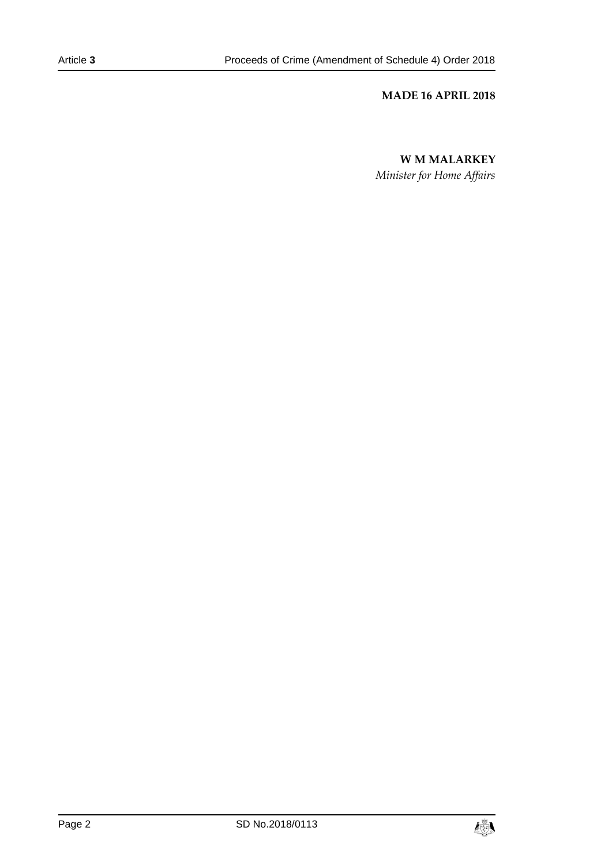## **MADE 16 APRIL 2018**

#### **W M MALARKEY**

*Minister for Home Affairs*

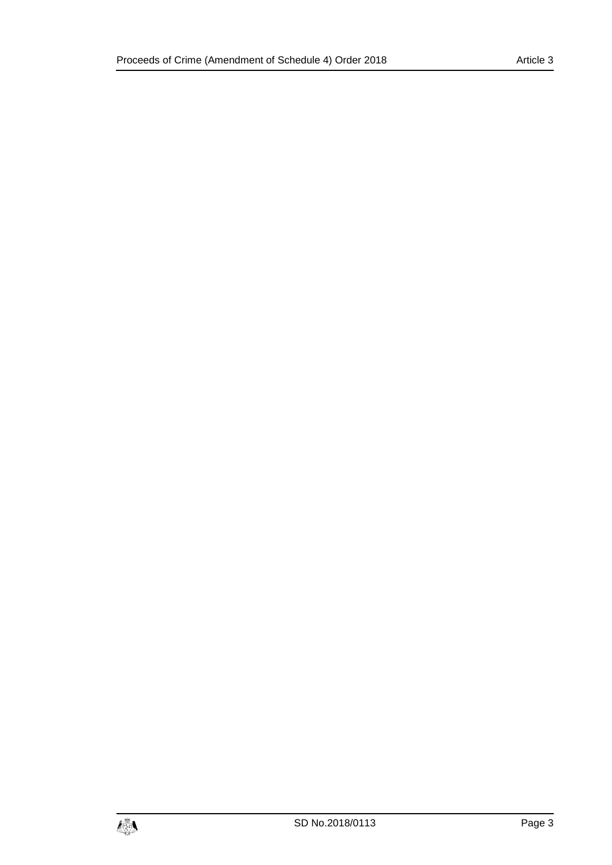